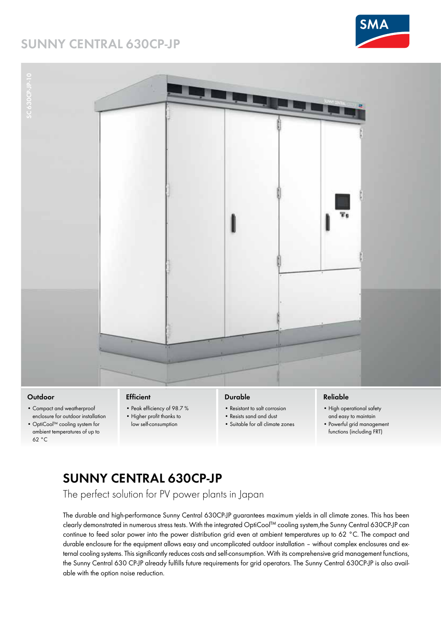### **SUNNY CENTRAL 630CP-JP**





#### **Outdoor**

- Compact and weatherproof enclosure for outdoor installation
- OptiCool™ cooling system for ambient temperatures of up to 62 °C

#### **Efficient**

- Peak efficiency of 98.7% • Higher profit thanks to
- low self-consumption

#### **Durable**

- Resistant to salt corrosion
- Resists sand and dust
- Suitable for all climate zones

#### **Reliable**

- High operational safety and easy to maintain
- Powerful grid management functions (including FRT)

# **SUNNY CENTRAL 630CP-JP**

The perfect solution for PV power plants in Japan

The durable and high-performance Sunny Central 630CP-JP guarantees maximum yields in all climate zones. This has been clearly demonstrated in numerous stress tests. With the integrated OptiCool™ cooling system,the Sunny Central 630CP-JP can continue to feed solar power into the power distribution grid even at ambient temperatures up to 62 °C. The compact and durable enclosure for the equipment allows easy and uncomplicated outdoor installation – without complex enclosures and external cooling systems. This significantly reduces costs and self-consumption. With its comprehensive grid management functions, the Sunny Central 630 CP-JP already fulfills future requirements for grid operators. The Sunny Central 630CP-JP is also available with the option noise reduction.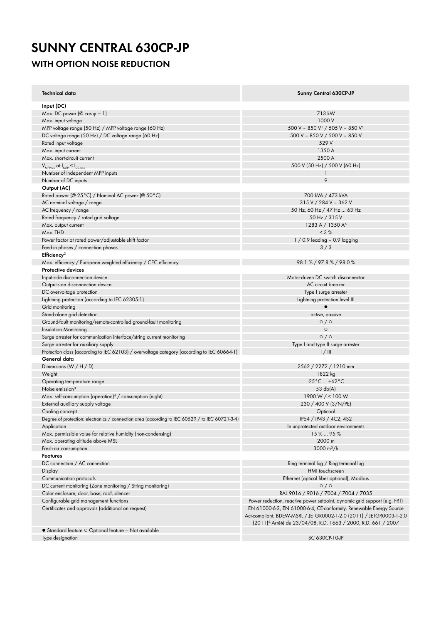# **SUNNY CENTRAL 630CP-JP**

### **WITH OPTION NOISE REDUCTION**

| Technical data                                                                                  | Sunny Central 630CP-JP                                                                                                                                                                                                  |
|-------------------------------------------------------------------------------------------------|-------------------------------------------------------------------------------------------------------------------------------------------------------------------------------------------------------------------------|
| Input (DC)                                                                                      |                                                                                                                                                                                                                         |
| Max. DC power ( $\circledcirc$ cos $\circledcirc$ = 1)                                          | 713 kW                                                                                                                                                                                                                  |
| Max. input voltage                                                                              | 1000 V                                                                                                                                                                                                                  |
| MPP voltage range (50 Hz) / MPP voltage range (60 Hz)                                           | 500 V - 850 V <sup>1</sup> / 505 V - 850 V <sup>1</sup>                                                                                                                                                                 |
| DC voltage range (50 Hz) / DC voltage range (60 Hz)                                             | 500 V - 850 V / 500 V - 850 V                                                                                                                                                                                           |
| Rated input voltage                                                                             | 529 V                                                                                                                                                                                                                   |
| Max. input current                                                                              | 1350 A                                                                                                                                                                                                                  |
| Max. short-circuit current                                                                      | 2500 A                                                                                                                                                                                                                  |
| $V_{MPPmin}$ at $I_{MPP} < I_{DCmax}$                                                           | 500 V (50 Hz) / 500 V (60 Hz)                                                                                                                                                                                           |
| Number of independent MPP inputs                                                                | -1                                                                                                                                                                                                                      |
| Number of DC inputs                                                                             | 9                                                                                                                                                                                                                       |
| Output (AC)                                                                                     |                                                                                                                                                                                                                         |
| Rated power (@ 25 °C) / Nominal AC power (@ 50 °C)                                              | 700 kVA / 473 kVA                                                                                                                                                                                                       |
| AC nominal voltage / range                                                                      | 315 V / 284 V - 362 V                                                                                                                                                                                                   |
| AC frequency / range                                                                            | 50 Hz, 60 Hz / 47 Hz  63 Hz                                                                                                                                                                                             |
| Rated frequency / rated grid voltage                                                            | 50 Hz / 315 V                                                                                                                                                                                                           |
| Max. output current                                                                             | 1283 A / 1350 A <sup>6</sup>                                                                                                                                                                                            |
| Max. THD                                                                                        | $< 3 \%$                                                                                                                                                                                                                |
| Power factor at rated power/adjustable shift factor                                             | $1/0.9$ leading - 0.9 lagging                                                                                                                                                                                           |
| Feed-in phases / connection phases                                                              | 3/3                                                                                                                                                                                                                     |
| Efficiency <sup>2</sup>                                                                         |                                                                                                                                                                                                                         |
| Max. efficiency / European weighted efficiency / CEC efficiency                                 | 98.1% / 97.8% / 98.0%                                                                                                                                                                                                   |
| <b>Protective devices</b>                                                                       |                                                                                                                                                                                                                         |
|                                                                                                 | Motor-driven DC switch disconnector                                                                                                                                                                                     |
| Input-side disconnection device                                                                 |                                                                                                                                                                                                                         |
| Output-side disconnection device                                                                | AC circuit breaker                                                                                                                                                                                                      |
| DC overvoltage protection                                                                       | Type I surge arrester                                                                                                                                                                                                   |
| Lightning protection (according to IEC 62305-1)                                                 | Lightning protection level III                                                                                                                                                                                          |
| Grid monitoring                                                                                 |                                                                                                                                                                                                                         |
| Stand-alone grid detection                                                                      | active, passive                                                                                                                                                                                                         |
| Ground-fault monitoring/remote-controlled ground-fault monitoring                               | $\circ$ / $\circ$                                                                                                                                                                                                       |
| <b>Insulation Monitoring</b>                                                                    | $\circ$                                                                                                                                                                                                                 |
| Surge arrester for communication interface/string current monitoring                            | 0/0                                                                                                                                                                                                                     |
| Surge arrester for auxiliary supply                                                             | Type I and type II surge arrester                                                                                                                                                                                       |
| Protection class (according to IEC 62103) / overvoltage category (according to IEC 60664-1)     | 1/11                                                                                                                                                                                                                    |
| General data                                                                                    |                                                                                                                                                                                                                         |
| Dimensions $(W/H/D)$                                                                            | 2562 / 2272 / 1210 mm                                                                                                                                                                                                   |
| Weight                                                                                          | 1822 kg                                                                                                                                                                                                                 |
| Operating temperature range                                                                     | $-25^{\circ}$ C  +62 $^{\circ}$ C                                                                                                                                                                                       |
| Noise emission <sup>3</sup>                                                                     | 53 db(A)                                                                                                                                                                                                                |
| Max. self-consumption (operation) <sup>4</sup> / consumption (night)                            | 1900 W $/$ < 100 W                                                                                                                                                                                                      |
| External auxiliary supply voltage                                                               | 230 / 400 V (3/N/PE)                                                                                                                                                                                                    |
| Cooling concept                                                                                 | Opticool                                                                                                                                                                                                                |
| Degree of protection: electronics / connection area (according to IEC 60529 / to IEC 60721-3-4) | IP54 / IP43 / 4C2, 4S2                                                                                                                                                                                                  |
| Application                                                                                     | In unprotected outdoor environments                                                                                                                                                                                     |
| Max. permissible value for relative humidity (non-condensing)                                   | 15%  95%                                                                                                                                                                                                                |
| Max. operating altitude above MSL                                                               | 2000 m                                                                                                                                                                                                                  |
| Fresh-air consumption                                                                           | 3000 m <sup>3</sup> /h                                                                                                                                                                                                  |
| <b>Features</b>                                                                                 |                                                                                                                                                                                                                         |
| DC connection / AC connection                                                                   | Ring terminal lug / Ring terminal lug                                                                                                                                                                                   |
| Display                                                                                         | HMI touchscreen                                                                                                                                                                                                         |
|                                                                                                 | Ethernet (optical fiber optional), Modbus                                                                                                                                                                               |
| Communication protocols                                                                         | $\circ$ / $\circ$                                                                                                                                                                                                       |
| DC current monitoring (Zone monitoring / String monitoring)                                     |                                                                                                                                                                                                                         |
| Color enclosure, door, base, roof, silencer                                                     | RAL 9016 / 9016 / 7004 / 7004 / 7035                                                                                                                                                                                    |
| Configurable grid management functions                                                          | Power reduction, reactive power setpoint, dynamic grid support (e.g. FRT)                                                                                                                                               |
| Certificates and approvals (additional on request)                                              | EN 61000-6-2, EN 61000-6-4, CE-conformity, Renewable Energy Source<br>Act-compliant, BDEW-MSRL / JETGR0002-1-2.0 (2011) / JETGR0003-1-2.0<br>(2011) <sup>5</sup> /Arrêté du 23/04/08, R.D. 1663 / 2000, R.D. 661 / 2007 |
| $\bullet$ Standard feature $\circ$ Optional feature - Not available                             |                                                                                                                                                                                                                         |
| Type designation                                                                                | SC 630CP-10-JP                                                                                                                                                                                                          |
|                                                                                                 |                                                                                                                                                                                                                         |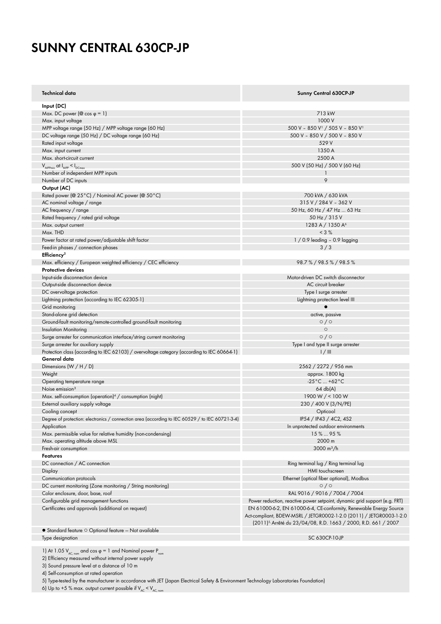## **SUNNY CENTRAL 630CP-JP**

| Technical data                                                                                  | Sunny Central 630CP-JP                                                     |
|-------------------------------------------------------------------------------------------------|----------------------------------------------------------------------------|
| Input (DC)                                                                                      |                                                                            |
| Max. DC power ( $\circledcirc$ cos $\circledcirc$ = 1)                                          | 713 kW                                                                     |
| Max. input voltage                                                                              | 1000 V                                                                     |
| MPP voltage range (50 Hz) / MPP voltage range (60 Hz)                                           | 500 V - 850 V <sup>1</sup> / 505 V - 850 V <sup>1</sup>                    |
| DC voltage range (50 Hz) / DC voltage range (60 Hz)                                             | 500 V - 850 V / 500 V - 850 V                                              |
| Rated input voltage                                                                             | 529 V                                                                      |
| Max. input current                                                                              | 1350 A                                                                     |
| Max. short-circuit current                                                                      | 2500 A                                                                     |
| $V_{\text{MPPmin}}$ at $I_{\text{MPP}} < I_{\text{DCmax}}$                                      | 500 V (50 Hz) / 500 V (60 Hz)                                              |
| Number of independent MPP inputs                                                                | $\mathbf{1}$                                                               |
|                                                                                                 | 9                                                                          |
| Number of DC inputs                                                                             |                                                                            |
| Output (AC)                                                                                     |                                                                            |
| Rated power (@ 25°C) / Nominal AC power (@ 50°C)                                                | 700 kVA / 630 kVA                                                          |
| AC nominal voltage / range                                                                      | 315 V / 284 V - 362 V                                                      |
| AC frequency / range                                                                            | 50 Hz, 60 Hz / 47 Hz  63 Hz                                                |
| Rated frequency / rated grid voltage                                                            | 50 Hz / 315 V                                                              |
| Max. output current                                                                             | 1283 A / 1350 A <sup>6</sup>                                               |
| Max. THD                                                                                        | $< 3\%$                                                                    |
| Power factor at rated power/adjustable shift factor                                             | $1/0.9$ leading - 0.9 lagging                                              |
| Feed-in phases / connection phases                                                              | 3/3                                                                        |
| Efficiency <sup>2</sup>                                                                         |                                                                            |
| Max. efficiency / European weighted efficiency / CEC efficiency                                 | 98.7%/98.5%/98.5%                                                          |
| <b>Protective devices</b>                                                                       |                                                                            |
| Input-side disconnection device                                                                 | Motor-driven DC switch disconnector                                        |
| Output-side disconnection device                                                                | AC circuit breaker                                                         |
| DC overvoltage protection                                                                       | Type I surge arrester                                                      |
| Lightning protection (according to IEC 62305-1)                                                 | Lightning protection level III                                             |
| Grid monitoring                                                                                 | $\bullet$                                                                  |
| Stand-alone grid detection                                                                      | active, passive                                                            |
| Ground-fault monitoring/remote-controlled ground-fault monitoring                               | $\circ$ / $\circ$                                                          |
| <b>Insulation Monitoring</b>                                                                    | $\circ$                                                                    |
| Surge arrester for communication interface/string current monitoring                            | $\circ$ / $\circ$                                                          |
| Surge arrester for auxiliary supply                                                             | Type I and type II surge arrester                                          |
| Protection class (according to IEC 62103) / overvoltage category (according to IEC 60664-1)     | 1/11                                                                       |
| General data                                                                                    |                                                                            |
| Dimensions $(W / H / D)$                                                                        | 2562 / 2272 / 956 mm                                                       |
| Weight                                                                                          | approx. 1800 kg                                                            |
| Operating temperature range                                                                     | $-25^{\circ}$ C  +62 $^{\circ}$ C                                          |
| Noise emission <sup>3</sup>                                                                     | 64 db(A)                                                                   |
| Max. self-consumption (operation) <sup>4</sup> / consumption (night)                            | 1900 W $/$ < 100 W                                                         |
| External auxiliary supply voltage                                                               | 230 / 400 V (3/N/PE)                                                       |
| Cooling concept                                                                                 | Opticool                                                                   |
| Degree of protection: electronics / connection area (according to IEC 60529 / to IEC 60721-3-4) | IP54 / IP43 / 4C2, 4S2                                                     |
|                                                                                                 |                                                                            |
| Application                                                                                     | In unprotected outdoor environments                                        |
| Max. permissible value for relative humidity (non-condensing)                                   | 15%  95%                                                                   |
| Max. operating altitude above MSL                                                               | 2000 m                                                                     |
| Fresh-air consumption                                                                           | 3000 m <sup>3</sup> /h                                                     |
| Features                                                                                        |                                                                            |
| DC connection / AC connection                                                                   | Ring terminal lug / Ring terminal lug                                      |
| Display                                                                                         | HMI touchscreen                                                            |
| Communication protocols                                                                         | Ethernet (optical fiber optional), Modbus                                  |
| DC current monitoring (Zone monitoring / String monitoring)                                     | 0/0                                                                        |
| Color enclosure, door, base, roof                                                               | RAL 9016 / 9016 / 7004 / 7004                                              |
| Configurable grid management functions                                                          | Power reduction, reactive power setpoint, dynamic grid support (e.g. FRT)  |
| Certificates and approvals (additional on request)                                              | EN 61000-6-2, EN 61000-6-4, CE-conformity, Renewable Energy Source         |
|                                                                                                 | Act-compliant, BDEW-MSRL / JETGR0002-1-2.0 (2011) / JETGR0003-1-2.0        |
|                                                                                                 | (2011) <sup>5,</sup> Arrêté du 23/04/08, R.D. 1663 / 2000, R.D. 661 / 2007 |
| $\bullet$ Standard feature $\circ$ Optional feature - Not available                             |                                                                            |
| Type designation                                                                                | SC 630CP-10-JP                                                             |

Type designation

1) At 1.05  $V_{AC, nom}$  and cos φ = 1 and Nominal power  $P_{nom}$ 

2) Efficiency measured without internal power supply

3) Sound pressure level at a distance of 10 m

4) Self-consumption at rated operation

5) Type-tested by the manufacturer in accordance with JET (Japan Electrical Safety & Environment Technology Laboratories Foundation)

6) Up to +5 % max. output current possible if  $V_{AC}$  <  $V_{AC, nom}$